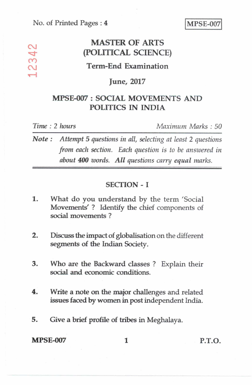## MASTER OF ARTS<br> **COLITICAL SCIENC (POLITICAL SCIENCE)**

### **Term-End Examination**

### **June, 2017**

## **MPSE-007 : SOCIAL MOVEMENTS AND POLITICS IN INDIA**

 $\infty$  $\overline{\mathcal{C}}$ 

*Time : 2 hours Maximum Marks : 50* 

*Note : Attempt* **5** *questions in all, selecting at least* **2** *questions from each section. Each question is to be answered in about 400 words. All questions carry equal marks.* 

### **SECTION - I**

- **1. What do you understand by the term 'Social Movements' ? Identify the chief components of social movements ?**
- **2. Discuss the impact of globalisation on the different segments of the Indian Society.**
- **3. Who are the Backward classes ? Explain their social and economic conditions.**
- **4. Write a note on the major challenges and related issues faced by women in post independent India.**
- **5. Give a brief profile of tribes in Meghalaya.**

**MPSE-007** 1 P.T.O.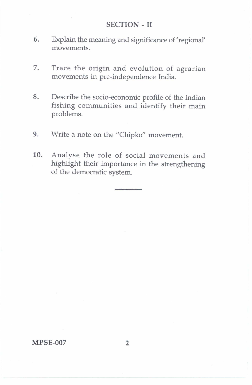### **SECTION-II**

- 6. Explain the meaning and significance of 'regional' movements.
- 7. Trace the origin and evolution of agrarian movements in pre-independence India.
- 8. Describe the socio-economic profile of the Indian fishing communities and identify their main problems.
- 9. Write a note on the "Chipko" movement.
- 10. Analyse the role of social movements and highlight their importance in the strengthening of the democratic system.

#### **MPSE-007 2**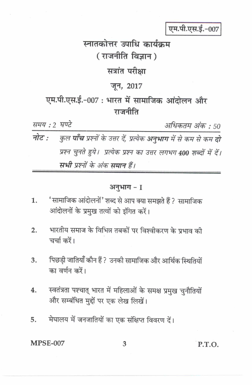एम.पी.एस.ई.-007

# स्नातकोत्तर उपाधि कार्यक्रम (राजनीति विज्ञान)

## सत्रांत परीक्षा

## जून, 2017

# एम.पी.एस.ई.-007 : भारत में सामाजिक आंदोलन और राजनीति

| समय : 2 घण्टे |                                                                               | अधिकतम अंक : 50 |
|---------------|-------------------------------------------------------------------------------|-----------------|
|               | नोट :      कुल पाँच प्रश्नों के उत्तर दें, प्रत्येक अनुभाग में से कम से कम दो |                 |
|               | प्रश्न चुनते हुये। प्रत्येक प्रश्न का उत्तर लगभग 400 शब्दों में दें।          |                 |
|               | सभी प्रश्नों के अंक समान हैं।                                                 |                 |

### अनुभाग - 1

- 'सामाजिक आंदोलनों' शब्द से आप क्या समझते हैं ? सामाजिक  $\mathbf{1}$ . आंदोलनों के प्रमुख तत्वों को इंगित करें।
- भारतीय समाज के विभिन्न तबकों पर विश्वीकरण के प्रभाव की  $2.$ चर्चा करें।
- पिछडी जातियाँ कौन हैं ? उनकी सामाजिक और आर्थिक स्थितियों  $\overline{3}$ . का वर्णन करें।
- स्वतंत्रता पश्चात् भारत में महिलाओं के समक्ष प्रमुख चुनौतियों  $4.$ और सम्बंधित मुद्दों पर एक लेख लिखें।
- मेघालय में जनजातियों का एक संक्षिप्त विवरण दें। 5.

**MPSE-007** 

P.T.O.